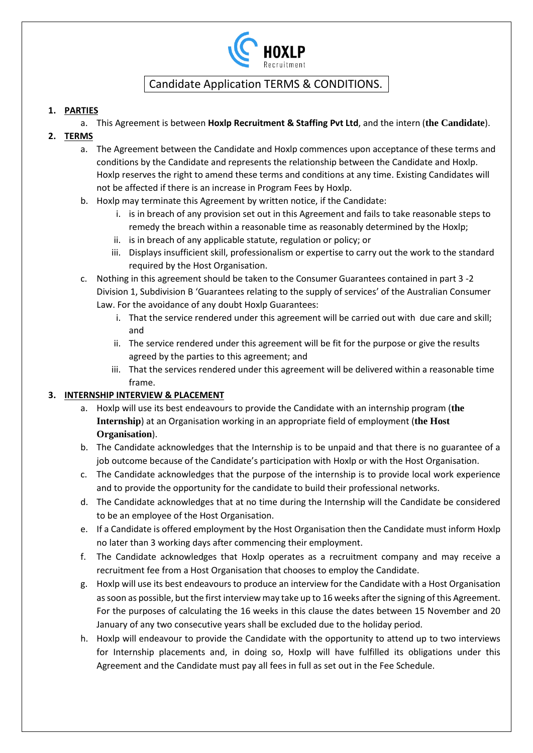

### **1. PARTIES**

a. This Agreement is between **Hoxlp Recruitment & Staffing Pvt Ltd**, and the intern (**the Candidate**).

### **2. TERMS**

- a. The Agreement between the Candidate and Hoxlp commences upon acceptance of these terms and conditions by the Candidate and represents the relationship between the Candidate and Hoxlp. Hoxlp reserves the right to amend these terms and conditions at any time. Existing Candidates will not be affected if there is an increase in Program Fees by Hoxlp.
- b. Hoxlp may terminate this Agreement by written notice, if the Candidate:
	- i. is in breach of any provision set out in this Agreement and fails to take reasonable steps to remedy the breach within a reasonable time as reasonably determined by the Hoxlp;
	- ii. is in breach of any applicable statute, regulation or policy; or
	- iii. Displays insufficient skill, professionalism or expertise to carry out the work to the standard required by the Host Organisation.
- c. Nothing in this agreement should be taken to the Consumer Guarantees contained in part 3 -2 Division 1, Subdivision B 'Guarantees relating to the supply of services' of the Australian Consumer Law. For the avoidance of any doubt Hoxlp Guarantees:
	- i. That the service rendered under this agreement will be carried out with due care and skill; and
	- ii. The service rendered under this agreement will be fit for the purpose or give the results agreed by the parties to this agreement; and
	- iii. That the services rendered under this agreement will be delivered within a reasonable time frame.

### **3. INTERNSHIP INTERVIEW & PLACEMENT**

- a. Hoxlp will use its best endeavours to provide the Candidate with an internship program (**the Internship**) at an Organisation working in an appropriate field of employment (**the Host Organisation**).
- b. The Candidate acknowledges that the Internship is to be unpaid and that there is no guarantee of a job outcome because of the Candidate's participation with Hoxlp or with the Host Organisation.
- c. The Candidate acknowledges that the purpose of the internship is to provide local work experience and to provide the opportunity for the candidate to build their professional networks.
- d. The Candidate acknowledges that at no time during the Internship will the Candidate be considered to be an employee of the Host Organisation.
- e. If a Candidate is offered employment by the Host Organisation then the Candidate must inform Hoxlp no later than 3 working days after commencing their employment.
- f. The Candidate acknowledges that Hoxlp operates as a recruitment company and may receive a recruitment fee from a Host Organisation that chooses to employ the Candidate.
- g. Hoxlp will use its best endeavours to produce an interview for the Candidate with a Host Organisation as soon as possible, but the first interview may take up to 16 weeks after the signing of this Agreement. For the purposes of calculating the 16 weeks in this clause the dates between 15 November and 20 January of any two consecutive years shall be excluded due to the holiday period.
- h. Hoxlp will endeavour to provide the Candidate with the opportunity to attend up to two interviews for Internship placements and, in doing so, Hoxlp will have fulfilled its obligations under this Agreement and the Candidate must pay all fees in full as set out in the Fee Schedule.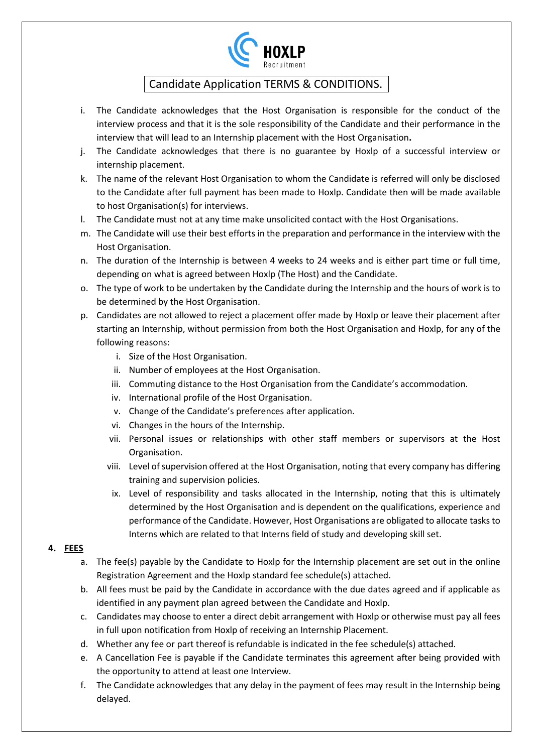

- i. The Candidate acknowledges that the Host Organisation is responsible for the conduct of the interview process and that it is the sole responsibility of the Candidate and their performance in the interview that will lead to an Internship placement with the Host Organisation**.**
- j. The Candidate acknowledges that there is no guarantee by Hoxlp of a successful interview or internship placement.
- k. The name of the relevant Host Organisation to whom the Candidate is referred will only be disclosed to the Candidate after full payment has been made to Hoxlp. Candidate then will be made available to host Organisation(s) for interviews.
- l. The Candidate must not at any time make unsolicited contact with the Host Organisations.
- m. The Candidate will use their best efforts in the preparation and performance in the interview with the Host Organisation.
- n. The duration of the Internship is between 4 weeks to 24 weeks and is either part time or full time, depending on what is agreed between Hoxlp (The Host) and the Candidate.
- o. The type of work to be undertaken by the Candidate during the Internship and the hours of work is to be determined by the Host Organisation.
- p. Candidates are not allowed to reject a placement offer made by Hoxlp or leave their placement after starting an Internship, without permission from both the Host Organisation and Hoxlp, for any of the following reasons:
	- i. Size of the Host Organisation.
	- ii. Number of employees at the Host Organisation.
	- iii. Commuting distance to the Host Organisation from the Candidate's accommodation.
	- iv. International profile of the Host Organisation.
	- v. Change of the Candidate's preferences after application.
	- vi. Changes in the hours of the Internship.
	- vii. Personal issues or relationships with other staff members or supervisors at the Host Organisation.
	- viii. Level of supervision offered at the Host Organisation, noting that every company has differing training and supervision policies.
	- ix. Level of responsibility and tasks allocated in the Internship, noting that this is ultimately determined by the Host Organisation and is dependent on the qualifications, experience and performance of the Candidate. However, Host Organisations are obligated to allocate tasks to Interns which are related to that Interns field of study and developing skill set.

### **4. FEES**

- a. The fee(s) payable by the Candidate to Hoxlp for the Internship placement are set out in the online Registration Agreement and the Hoxlp standard fee schedule(s) attached.
- b. All fees must be paid by the Candidate in accordance with the due dates agreed and if applicable as identified in any payment plan agreed between the Candidate and Hoxlp.
- c. Candidates may choose to enter a direct debit arrangement with Hoxlp or otherwise must pay all fees in full upon notification from Hoxlp of receiving an Internship Placement.
- d. Whether any fee or part thereof is refundable is indicated in the fee schedule(s) attached.
- e. A Cancellation Fee is payable if the Candidate terminates this agreement after being provided with the opportunity to attend at least one Interview.
- f. The Candidate acknowledges that any delay in the payment of fees may result in the Internship being delayed.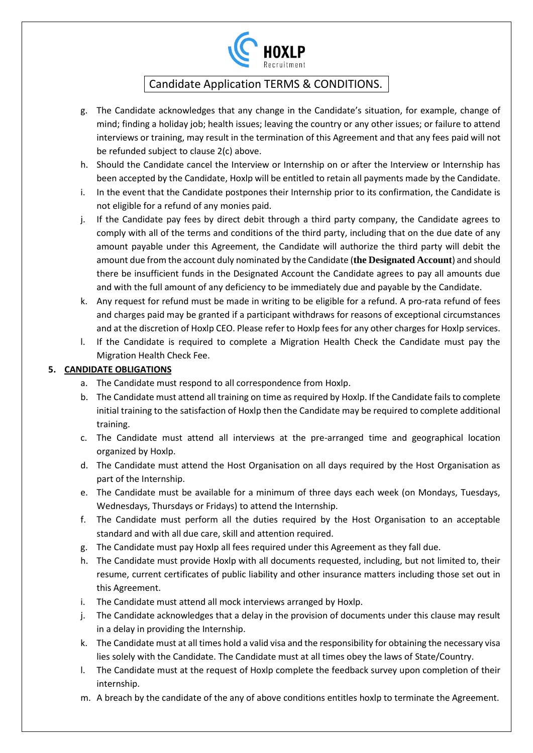

- g. The Candidate acknowledges that any change in the Candidate's situation, for example, change of mind; finding a holiday job; health issues; leaving the country or any other issues; or failure to attend interviews or training, may result in the termination of this Agreement and that any fees paid will not be refunded subject to clause 2(c) above.
- h. Should the Candidate cancel the Interview or Internship on or after the Interview or Internship has been accepted by the Candidate, Hoxlp will be entitled to retain all payments made by the Candidate.
- i. In the event that the Candidate postpones their Internship prior to its confirmation, the Candidate is not eligible for a refund of any monies paid.
- j. If the Candidate pay fees by direct debit through a third party company, the Candidate agrees to comply with all of the terms and conditions of the third party, including that on the due date of any amount payable under this Agreement, the Candidate will authorize the third party will debit the amount due from the account duly nominated by the Candidate (**the Designated Account**) and should there be insufficient funds in the Designated Account the Candidate agrees to pay all amounts due and with the full amount of any deficiency to be immediately due and payable by the Candidate.
- k. Any request for refund must be made in writing to be eligible for a refund. A pro-rata refund of fees and charges paid may be granted if a participant withdraws for reasons of exceptional circumstances and at the discretion of Hoxlp CEO. Please refer to Hoxlp fees for any other charges for Hoxlp services.
- l. If the Candidate is required to complete a Migration Health Check the Candidate must pay the Migration Health Check Fee.

### **5. CANDIDATE OBLIGATIONS**

- a. The Candidate must respond to all correspondence from Hoxlp.
- b. The Candidate must attend all training on time as required by Hoxlp. If the Candidate fails to complete initial training to the satisfaction of Hoxlp then the Candidate may be required to complete additional training.
- c. The Candidate must attend all interviews at the pre-arranged time and geographical location organized by Hoxlp.
- d. The Candidate must attend the Host Organisation on all days required by the Host Organisation as part of the Internship.
- e. The Candidate must be available for a minimum of three days each week (on Mondays, Tuesdays, Wednesdays, Thursdays or Fridays) to attend the Internship.
- f. The Candidate must perform all the duties required by the Host Organisation to an acceptable standard and with all due care, skill and attention required.
- g. The Candidate must pay Hoxlp all fees required under this Agreement as they fall due.
- h. The Candidate must provide Hoxlp with all documents requested, including, but not limited to, their resume, current certificates of public liability and other insurance matters including those set out in this Agreement.
- i. The Candidate must attend all mock interviews arranged by Hoxlp.
- j. The Candidate acknowledges that a delay in the provision of documents under this clause may result in a delay in providing the Internship.
- k. The Candidate must at all times hold a valid visa and the responsibility for obtaining the necessary visa lies solely with the Candidate. The Candidate must at all times obey the laws of State/Country.
- l. The Candidate must at the request of Hoxlp complete the feedback survey upon completion of their internship.
- m. A breach by the candidate of the any of above conditions entitles hoxlp to terminate the Agreement.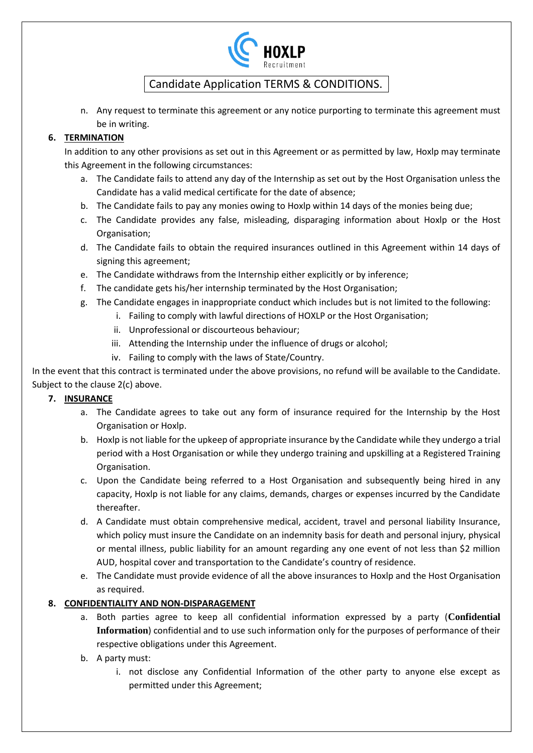

n. Any request to terminate this agreement or any notice purporting to terminate this agreement must be in writing.

### **6. TERMINATION**

In addition to any other provisions as set out in this Agreement or as permitted by law, Hoxlp may terminate this Agreement in the following circumstances:

- a. The Candidate fails to attend any day of the Internship as set out by the Host Organisation unless the Candidate has a valid medical certificate for the date of absence;
- b. The Candidate fails to pay any monies owing to Hoxlp within 14 days of the monies being due;
- c. The Candidate provides any false, misleading, disparaging information about Hoxlp or the Host Organisation;
- d. The Candidate fails to obtain the required insurances outlined in this Agreement within 14 days of signing this agreement;
- e. The Candidate withdraws from the Internship either explicitly or by inference;
- f. The candidate gets his/her internship terminated by the Host Organisation;
- g. The Candidate engages in inappropriate conduct which includes but is not limited to the following:
	- i. Failing to comply with lawful directions of HOXLP or the Host Organisation;
	- ii. Unprofessional or discourteous behaviour;
	- iii. Attending the Internship under the influence of drugs or alcohol;
	- iv. Failing to comply with the laws of State/Country.

In the event that this contract is terminated under the above provisions, no refund will be available to the Candidate. Subject to the clause 2(c) above.

### **7. INSURANCE**

- a. The Candidate agrees to take out any form of insurance required for the Internship by the Host Organisation or Hoxlp.
- b. Hoxlp is not liable for the upkeep of appropriate insurance by the Candidate while they undergo a trial period with a Host Organisation or while they undergo training and upskilling at a Registered Training Organisation.
- c. Upon the Candidate being referred to a Host Organisation and subsequently being hired in any capacity, Hoxlp is not liable for any claims, demands, charges or expenses incurred by the Candidate thereafter.
- d. A Candidate must obtain comprehensive medical, accident, travel and personal liability Insurance, which policy must insure the Candidate on an indemnity basis for death and personal injury, physical or mental illness, public liability for an amount regarding any one event of not less than \$2 million AUD, hospital cover and transportation to the Candidate's country of residence.
- e. The Candidate must provide evidence of all the above insurances to Hoxlp and the Host Organisation as required.

### **8. CONFIDENTIALITY AND NON-DISPARAGEMENT**

- a. Both parties agree to keep all confidential information expressed by a party (**Confidential Information**) confidential and to use such information only for the purposes of performance of their respective obligations under this Agreement.
- b. A party must:
	- i. not disclose any Confidential Information of the other party to anyone else except as permitted under this Agreement;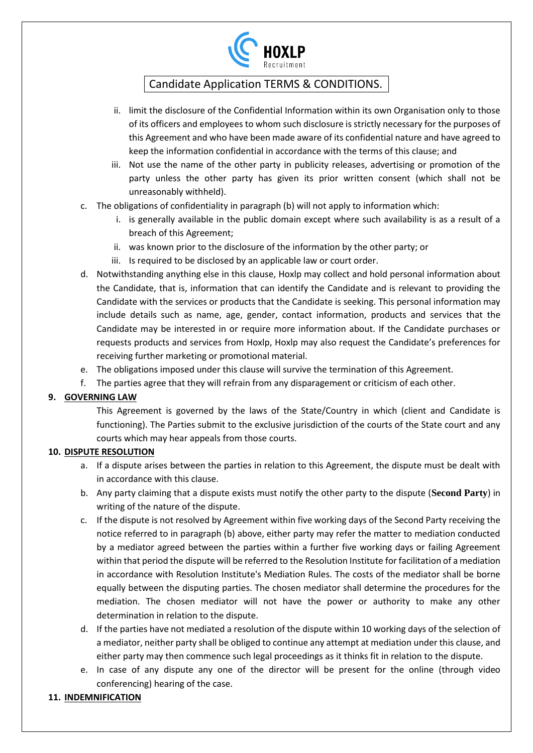

- ii. limit the disclosure of the Confidential Information within its own Organisation only to those of its officers and employees to whom such disclosure is strictly necessary for the purposes of this Agreement and who have been made aware of its confidential nature and have agreed to keep the information confidential in accordance with the terms of this clause; and
- iii. Not use the name of the other party in publicity releases, advertising or promotion of the party unless the other party has given its prior written consent (which shall not be unreasonably withheld).
- c. The obligations of confidentiality in paragraph (b) will not apply to information which:
	- i. is generally available in the public domain except where such availability is as a result of a breach of this Agreement;
	- ii. was known prior to the disclosure of the information by the other party; or
	- iii. Is required to be disclosed by an applicable law or court order.
- d. Notwithstanding anything else in this clause, Hoxlp may collect and hold personal information about the Candidate, that is, information that can identify the Candidate and is relevant to providing the Candidate with the services or products that the Candidate is seeking. This personal information may include details such as name, age, gender, contact information, products and services that the Candidate may be interested in or require more information about. If the Candidate purchases or requests products and services from Hoxlp, Hoxlp may also request the Candidate's preferences for receiving further marketing or promotional material.
- e. The obligations imposed under this clause will survive the termination of this Agreement.
- f. The parties agree that they will refrain from any disparagement or criticism of each other.

### **9. GOVERNING LAW**

This Agreement is governed by the laws of the State/Country in which (client and Candidate is functioning). The Parties submit to the exclusive jurisdiction of the courts of the State court and any courts which may hear appeals from those courts.

### **10. DISPUTE RESOLUTION**

- a. If a dispute arises between the parties in relation to this Agreement, the dispute must be dealt with in accordance with this clause.
- b. Any party claiming that a dispute exists must notify the other party to the dispute (**Second Party**) in writing of the nature of the dispute.
- c. If the dispute is not resolved by Agreement within five working days of the Second Party receiving the notice referred to in paragraph (b) above, either party may refer the matter to mediation conducted by a mediator agreed between the parties within a further five working days or failing Agreement within that period the dispute will be referred to the Resolution Institute for facilitation of a mediation in accordance with Resolution Institute's Mediation Rules. The costs of the mediator shall be borne equally between the disputing parties. The chosen mediator shall determine the procedures for the mediation. The chosen mediator will not have the power or authority to make any other determination in relation to the dispute.
- d. If the parties have not mediated a resolution of the dispute within 10 working days of the selection of a mediator, neither party shall be obliged to continue any attempt at mediation under this clause, and either party may then commence such legal proceedings as it thinks fit in relation to the dispute.
- e. In case of any dispute any one of the director will be present for the online (through video conferencing) hearing of the case.

### **11. INDEMNIFICATION**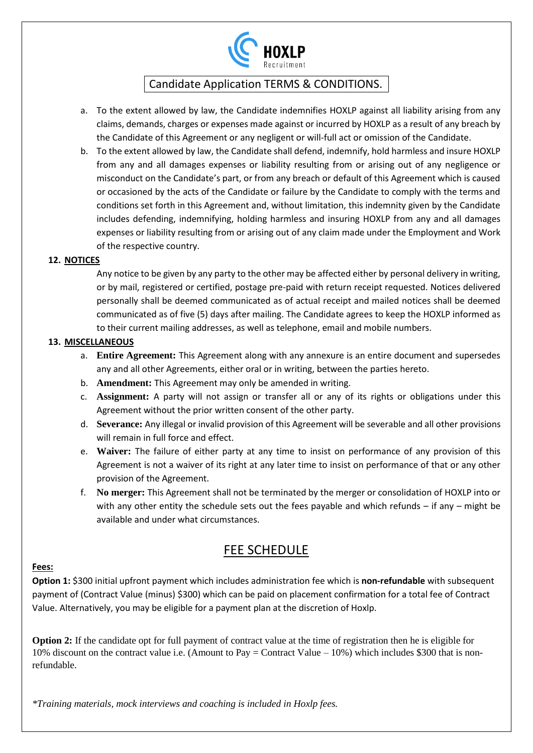

- a. To the extent allowed by law, the Candidate indemnifies HOXLP against all liability arising from any claims, demands, charges or expenses made against or incurred by HOXLP as a result of any breach by the Candidate of this Agreement or any negligent or will-full act or omission of the Candidate.
- b. To the extent allowed by law, the Candidate shall defend, indemnify, hold harmless and insure HOXLP from any and all damages expenses or liability resulting from or arising out of any negligence or misconduct on the Candidate's part, or from any breach or default of this Agreement which is caused or occasioned by the acts of the Candidate or failure by the Candidate to comply with the terms and conditions set forth in this Agreement and, without limitation, this indemnity given by the Candidate includes defending, indemnifying, holding harmless and insuring HOXLP from any and all damages expenses or liability resulting from or arising out of any claim made under the Employment and Work of the respective country.

#### **12. NOTICES**

Any notice to be given by any party to the other may be affected either by personal delivery in writing, or by mail, registered or certified, postage pre-paid with return receipt requested. Notices delivered personally shall be deemed communicated as of actual receipt and mailed notices shall be deemed communicated as of five (5) days after mailing. The Candidate agrees to keep the HOXLP informed as to their current mailing addresses, as well as telephone, email and mobile numbers.

#### **13. MISCELLANEOUS**

- a. **Entire Agreement:** This Agreement along with any annexure is an entire document and supersedes any and all other Agreements, either oral or in writing, between the parties hereto.
- b. **Amendment:** This Agreement may only be amended in writing.
- c. **Assignment:** A party will not assign or transfer all or any of its rights or obligations under this Agreement without the prior written consent of the other party.
- d. **Severance:** Any illegal or invalid provision of this Agreement will be severable and all other provisions will remain in full force and effect.
- e. **Waiver:** The failure of either party at any time to insist on performance of any provision of this Agreement is not a waiver of its right at any later time to insist on performance of that or any other provision of the Agreement.
- f. **No merger:** This Agreement shall not be terminated by the merger or consolidation of HOXLP into or with any other entity the schedule sets out the fees payable and which refunds – if any – might be available and under what circumstances.

# FEE SCHEDULE

#### **Fees:**

**Option 1:** \$300 initial upfront payment which includes administration fee which is **non-refundable** with subsequent payment of (Contract Value (minus) \$300) which can be paid on placement confirmation for a total fee of Contract Value. Alternatively, you may be eligible for a payment plan at the discretion of Hoxlp.

**Option 2:** If the candidate opt for full payment of contract value at the time of registration then he is eligible for 10% discount on the contract value i.e. (Amount to Pay = Contract Value – 10%) which includes \$300 that is nonrefundable.

*\*Training materials, mock interviews and coaching is included in Hoxlp fees.*